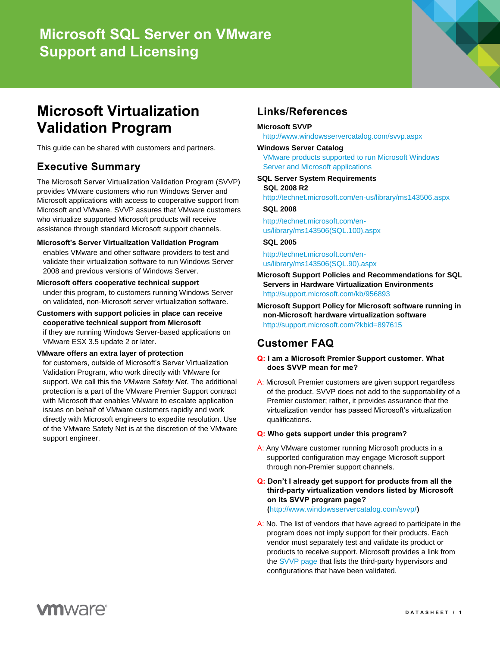# **Microsoft SQL Server on VMware Support and Licensing**



# **Microsoft Virtualization Validation Program**

This guide can be shared with customers and partners.

# **Executive Summary**

The Microsoft Server Virtualization Validation Program (SVVP) provides VMware customers who run Windows Server and Microsoft applications with access to cooperative support from Microsoft and VMware. SVVP assures that VMware customers who virtualize supported Microsoft products will receive assistance through standard Microsoft support channels.

**Microsoft's Server Virtualization Validation Program** enables VMware and other software providers to test and validate their virtualization software to run Windows Server 2008 and previous versions of Windows Server.

**Microsoft offers cooperative technical support** under this program, to customers running Windows Server

on validated, non-Microsoft server virtualization software.

**Customers with support policies in place can receive cooperative technical support from Microsoft** if they are running Windows Server-based applications on VMware ESX 3.5 update 2 or later.

### **VMware offers an extra layer of protection**

for customers, outside of Microsoft's Server Virtualization Validation Program, who work directly with VMware for support. We call this the *VMware Safety Net*. The additional protection is a part of the VMware Premier Support contract with Microsoft that enables VMware to escalate application issues on behalf of VMware customers rapidly and work directly with Microsoft engineers to expedite resolution. Use of the VMware Safety Net is at the discretion of the VMware support engineer.

# **Links/References**

### **Microsoft SVVP**

<http://www.windowsservercatalog.com/svvp.aspx>

### **Windows Server Catalog**

[VMware products supported to run Microsoft Windows](http://www.windowsservercatalog.com/results.aspx?&chtext=&cstext=&csttext=&chbtext=&bCatID=1521&cpID=2274&avc=0&ava=0&avq=0&OR=1&PGS=25&ready=0)  [Server and Microsoft applications](http://www.windowsservercatalog.com/results.aspx?&chtext=&cstext=&csttext=&chbtext=&bCatID=1521&cpID=2274&avc=0&ava=0&avq=0&OR=1&PGS=25&ready=0)

#### <span id="page-0-0"></span>**SQL Server System Requirements SQL 2008 R2**

<http://technet.microsoft.com/en-us/library/ms143506.aspx>

### **SQL 2008**

[http://technet.microsoft.com/en](http://technet.microsoft.com/en-us/library/ms143506(SQL.100).aspx)[us/library/ms143506\(SQL.100\).aspx](http://technet.microsoft.com/en-us/library/ms143506(SQL.100).aspx)

#### **SQL 2005**

[http://technet.microsoft.com/en](http://technet.microsoft.com/en-us/library/ms143506(SQL.90).aspx)[us/library/ms143506\(SQL.90\).aspx](http://technet.microsoft.com/en-us/library/ms143506(SQL.90).aspx)

- **Microsoft Support Policies and Recommendations for SQL Servers in Hardware Virtualization Environments** <http://support.microsoft.com/kb/956893>
- **Microsoft Support Policy for Microsoft software running in non-Microsoft hardware virtualization software** <http://support.microsoft.com/?kbid=897615>

## **Customer FAQ**

#### **Q: I am a Microsoft Premier Support customer. What does SVVP mean for me?**

- A: Microsoft Premier customers are given support regardless of the product. SVVP does not add to the supportability of a Premier customer; rather, it provides assurance that the virtualization vendor has passed Microsoft's virtualization qualifications.
- **Q: Who gets support under this program?**
- A: Any VMware customer running Microsoft products in a supported configuration may engage Microsoft support through non-Premier support channels.
- **Q: Don't I already get support for products from all the third-party virtualization vendors listed by Microsoft on its SVVP program page?**

**(**<http://www.windowsservercatalog.com/svvp/>**)**

A: No. The list of vendors that have agreed to participate in the program does not imply support for their products. Each vendor must separately test and validate its product or products to receive support. Microsoft provides a link from the [SVVP page](http://windowsservercatalog.com/svvp.aspx?svvppage=svvp.htm) that lists the third-party hypervisors and configurations that have been validated.